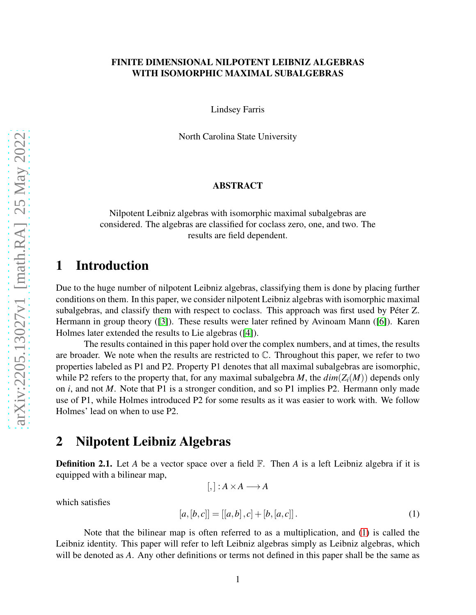#### FINITE DIMENSIONAL NILPOTENT LEIBNIZ ALGEBRAS WITH ISOMORPHIC MAXIMAL SUBALGEBRAS

Lindsey Farris

North Carolina State University

#### ABSTRACT

Nilpotent Leibniz algebras with isomorphic maximal subalgebras are considered. The algebras are classified for coclass zero, one, and two. The results are field dependent.

# 1 Introduction

Due to the huge number of nilpotent Leibniz algebras, classifying them is done by placing further conditions on them. In this paper, we consider nilpotent Leibniz algebras with isomorphic maximal subalgebras, and classify them with respect to coclass. This approach was first used by Péter Z. Hermann in group theory ([\[3\]](#page-15-0)). These results were later refined by Avinoam Mann ([\[6\]](#page-15-1)). Karen Holmes later extended the results to Lie algebras ([\[4\]](#page-15-2)).

The results contained in this paper hold over the complex numbers, and at times, the results are broader. We note when the results are restricted to  $\mathbb{C}$ . Throughout this paper, we refer to two properties labeled as P1 and P2. Property P1 denotes that all maximal subalgebras are isomorphic, while P2 refers to the property that, for any maximal subalgebra *M*, the  $dim(Z_i(M))$  depends only on *i*, and not *M*. Note that P1 is a stronger condition, and so P1 implies P2. Hermann only made use of P1, while Holmes introduced P2 for some results as it was easier to work with. We follow Holmes' lead on when to use P2.

# 2 Nilpotent Leibniz Algebras

**Definition 2.1.** Let *A* be a vector space over a field  $\mathbb{F}$ . Then *A* is a left Leibniz algebra if it is equipped with a bilinear map,  $[,$  :  $A \times A \longrightarrow A$ 

which satisfies

<span id="page-0-0"></span>
$$
[a,[b,c]] = [[a,b],c] + [b,[a,c]]. \qquad (1)
$$

Note that the bilinear map is often referred to as a multiplication, and [\(1\)](#page-0-0) is called the Leibniz identity. This paper will refer to left Leibniz algebras simply as Leibniz algebras, which will be denoted as *A*. Any other definitions or terms not defined in this paper shall be the same as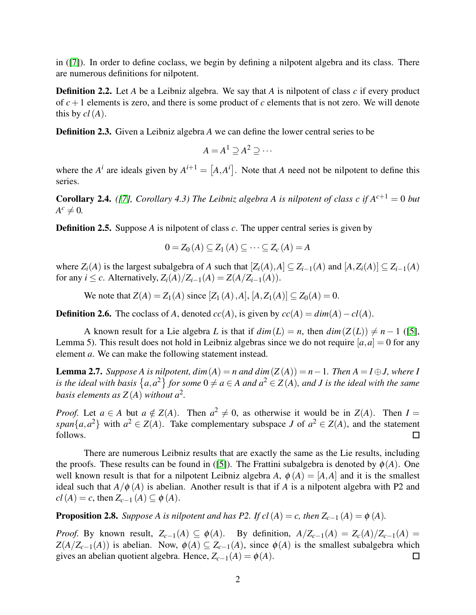in ([\[7\]](#page-15-3)). In order to define coclass, we begin by defining a nilpotent algebra and its class. There are numerous definitions for nilpotent.

Definition 2.2. Let *A* be a Leibniz algebra. We say that *A* is nilpotent of class *c* if every product of  $c + 1$  elements is zero, and there is some product of  $c$  elements that is not zero. We will denote this by  $cl(A)$ .

**Definition 2.3.** Given a Leibniz algebra *A* we can define the lower central series to be

$$
A = A^1 \supseteq A^2 \supseteq \cdots
$$

where the  $A^i$  are ideals given by  $A^{i+1} = [A, A^i]$ . Note that *A* need not be nilpotent to define this series.

**Corollary 2.4.** *([\[7\]](#page-15-3), Corollary 4.3) The Leibniz algebra A is nilpotent of class c if*  $A^{c+1} = 0$  *but*  $A^c \neq 0$ .

Definition 2.5. Suppose *A* is nilpotent of class *c*. The upper central series is given by

$$
0 = Z_0(A) \subseteq Z_1(A) \subseteq \cdots \subseteq Z_c(A) = A
$$

where  $Z_i(A)$  is the largest subalgebra of *A* such that  $[Z_i(A), A] \subseteq Z_{i-1}(A)$  and  $[A, Z_i(A)] \subseteq Z_{i-1}(A)$ for any *i*  $\leq$  *c*. Alternatively,  $Z_i(A)/Z_{i-1}(A) = Z(A/Z_{i-1}(A)).$ 

We note that *Z*(*A*) = *Z*<sub>1</sub>(*A*) since [*Z*<sub>1</sub>(*A*),*A*], [*A*, *Z*<sub>1</sub>(*A*)] ⊂ *Z*<sub>0</sub>(*A*) = 0.

**Definition 2.6.** The coclass of *A*, denoted  $cc(A)$ , is given by  $cc(A) = dim(A) - cl(A)$ .

A known result for a Lie algebra *L* is that if  $dim(L) = n$ , then  $dim(Z(L)) \neq n - 1$  ([\[5\]](#page-15-4), Lemma 5). This result does not hold in Leibniz algebras since we do not require  $[a, a] = 0$  for any element *a*. We can make the following statement instead.

**Lemma 2.7.** *Suppose A is nilpotent, dim*( $A$ ) = *n* and dim( $Z(A)$ ) = *n* − 1*. Then*  $A = I \oplus J$ *, where* I is the ideal with basis  $\{a,a^2\}$  for some  $0 \neq a \in A$  and  $a^2 \in Z(A)$ , and *J* is the ideal with the same *basis elements as Z* (*A*) *without a*<sup>2</sup> *.*

*Proof.* Let  $a \in A$  but  $a \notin Z(A)$ . Then  $a^2 \neq 0$ , as otherwise it would be in  $Z(A)$ . Then  $I =$ *span* $\{a, a^2\}$  with  $a^2 \in Z(A)$ . Take complementary subspace *J* of  $a^2 \in Z(A)$ , and the statement follows.  $\Box$ 

There are numerous Leibniz results that are exactly the same as the Lie results, including the proofs. These results can be found in ([\[5\]](#page-15-4)). The Frattini subalgebra is denoted by  $\phi(A)$ . One well known result is that for a nilpotent Leibniz algebra *A*,  $\phi(A) = [A,A]$  and it is the smallest ideal such that  $A/\phi(A)$  is abelian. Another result is that if *A* is a nilpotent algebra with P2 and *cl*(*A*) = *c*, then  $Z_{c-1}(A) \subseteq \phi(A)$ .

<span id="page-1-0"></span>**Proposition 2.8.** *Suppose A is nilpotent and has P2. If cl*(*A*) = *c, then*  $Z_{c-1}(A) = \phi(A)$ *.* 

*Proof.* By known result,  $Z_{c-1}(A) \subseteq \phi(A)$ . By definition,  $A/Z_{c-1}(A) = Z_c(A)/Z_{c-1}(A)$  $Z(A/Z_{c-1}(A))$  is abelian. Now,  $\phi(A) \subseteq Z_{c-1}(A)$ , since  $\phi(A)$  is the smallest subalgebra which gives an abelian quotient algebra. Hence,  $Z_{c-1}(A) = \phi(A)$ .  $\Box$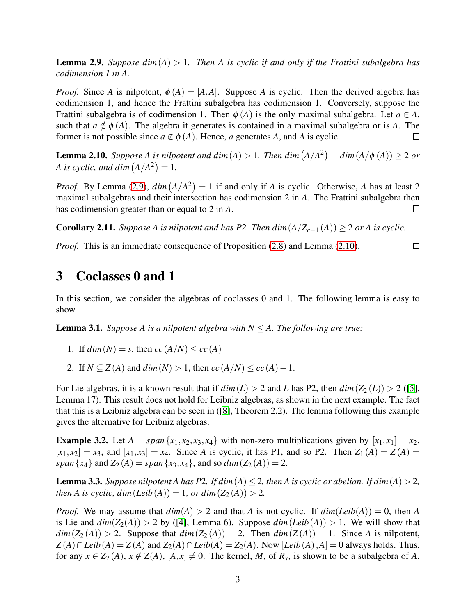<span id="page-2-0"></span>**Lemma 2.9.** Suppose dim $(A) > 1$ . Then A is cyclic if and only if the Frattini subalgebra has *codimension 1 in A.*

*Proof.* Since *A* is nilpotent,  $\phi(A) = [A, A]$ . Suppose *A* is cyclic. Then the derived algebra has codimension 1, and hence the Frattini subalgebra has codimension 1. Conversely, suppose the Frattini subalgebra is of codimension 1. Then  $\phi(A)$  is the only maximal subalgebra. Let  $a \in A$ , such that  $a \notin \phi(A)$ . The algebra it generates is contained in a maximal subalgebra or is A. The former is not possible since  $a \notin \phi(A)$ . Hence, *a* generates *A*, and *A* is cyclic. □

<span id="page-2-1"></span>**Lemma 2.10.** *Suppose A is nilpotent and dim* (*A*) > 1. *Then dim* (*A*/*A*<sup>2</sup>) =  $dim(A/\phi(A)) \ge 2$  *or A* is cyclic, and dim  $(A/A^2) = 1$ .

*Proof.* By Lemma [\(2.9\)](#page-2-0),  $dim(A/A^2) = 1$  if and only if *A* is cyclic. Otherwise, *A* has at least 2 maximal subalgebras and their intersection has codimension 2 in *A*. The Frattini subalgebra then has codimension greater than or equal to 2 in *A*. □

 $\Box$ 

**Corollary 2.11.** *Suppose A is nilpotent and has P2. Then*  $dim(A/Z_{c-1}(A)) \geq 2$  *or A is cyclic.* 

*Proof.* This is an immediate consequence of Proposition [\(2.8\)](#page-1-0) and Lemma [\(2.10\)](#page-2-1).

# 3 Coclasses 0 and 1

In this section, we consider the algebras of coclasses 0 and 1. The following lemma is easy to show.

**Lemma 3.1.** *Suppose A is a nilpotent algebra with*  $N \leq A$ *. The following are true:* 

- 1. If  $\dim(N) = s$ , then  $\operatorname{cc}(A/N) \leq \operatorname{cc}(A)$
- 2. If  $N \subset Z(A)$  and  $dim(N) > 1$ , then  $cc(A/N) \leq cc(A) 1$ .

For Lie algebras, it is a known result that if  $dim(L) > 2$  and *L* has P2, then  $dim(Z_2(L)) > 2$  ([\[5\]](#page-15-4), Lemma 17). This result does not hold for Leibniz algebras, as shown in the next example. The fact that this is a Leibniz algebra can be seen in ([\[8\]](#page-15-5), Theorem 2.2). The lemma following this example gives the alternative for Leibniz algebras.

**Example 3.2.** Let  $A = span\{x_1, x_2, x_3, x_4\}$  with non-zero multiplications given by  $[x_1, x_1] = x_2$ ,  $[x_1, x_2] = x_3$ , and  $[x_1, x_3] = x_4$ . Since *A* is cyclic, it has P1, and so P2. Then  $Z_1(A) = Z(A) =$ *span*{*x*<sub>4</sub>} and *Z*<sub>2</sub> (*A*) = *span*{*x*<sub>3</sub>, *x*<sub>4</sub>}, and so *dim*(*Z*<sub>2</sub> (*A*)) = 2.

<span id="page-2-2"></span>**Lemma 3.3.** *Suppose nilpotent A has P2. If dim*  $(A) \leq 2$ *, then A is cyclic or abelian. If dim*  $(A) > 2$ *, then A is cyclic, dim*  $(Leib(A)) = 1$ *, or dim*  $(Z_2(A)) > 2$ *.* 

*Proof.* We may assume that  $dim(A) > 2$  and that *A* is not cyclic. If  $dim(Leib(A)) = 0$ , then *A* is Lie and  $dim(Z_2(A)) > 2$  by ([\[4\]](#page-15-2), Lemma 6). Suppose  $dim(Leib(A)) > 1$ . We will show that  $dim(Z_2(A)) > 2$ . Suppose that  $dim(Z_2(A)) = 2$ . Then  $dim(Z(A)) = 1$ . Since *A* is nilpotent,  $Z(A) \cap Leib(A) = Z(A)$  and  $Z_2(A) \cap Leib(A) = Z_2(A)$ . Now  $[Leib(A), A] = 0$  always holds. Thus, for any  $x \in Z_2(A)$ ,  $x \notin Z(A)$ ,  $[A, x] \neq 0$ . The kernel, *M*, of  $R_x$ , is shown to be a subalgebra of *A*.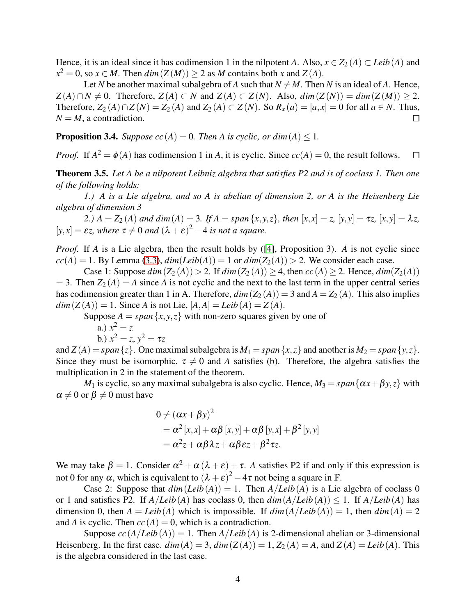Hence, it is an ideal since it has codimension 1 in the nilpotent *A*. Also,  $x \in Z_2(A) \subset Leib(A)$  and  $x^2 = 0$ , so  $x \in M$ . Then  $dim(Z(M)) \ge 2$  as *M* contains both *x* and *Z*(*A*).

Let *N* be another maximal subalgebra of *A* such that  $N \neq M$ . Then *N* is an ideal of *A*. Hence,  $Z(A) \cap N \neq 0$ . Therefore,  $Z(A) \subset N$  and  $Z(A) \subset Z(N)$ . Also,  $dim(Z(N)) = dim(Z(M)) \geq 2$ . Therefore,  $Z_2(A) \cap Z(N) = Z_2(A)$  and  $Z_2(A) \subset Z(N)$ . So  $R_x(a) = [a, x] = 0$  for all  $a \in N$ . Thus,  $N = M$ , a contradiction. □

**Proposition 3.4.** *Suppose cc*(*A*) = 0*. Then A is cyclic, or dim*(*A*)  $\leq$  1*.* 

*Proof.* If  $A^2 = \phi(A)$  has codimension 1 in *A*, it is cyclic. Since  $cc(A) = 0$ , the result follows.  $\Box$ 

<span id="page-3-0"></span>Theorem 3.5. *Let A be a nilpotent Leibniz algebra that satisfies P2 and is of coclass 1. Then one of the following holds:*

*1.) A is a Lie algebra, and so A is abelian of dimension 2, or A is the Heisenberg Lie algebra of dimension 3*

2.)  $A = Z_2(A)$  and  $dim(A) = 3$ . If  $A = span\{x, y, z\}$ , then  $[x, x] = z$ ,  $[y, y] = \tau z$ ,  $[x, y] = \lambda z$ ,  $[y, x] = \varepsilon z$ , where  $\tau \neq 0$  and  $(\lambda + \varepsilon)^2 - 4$  *is not a square.* 

*Proof.* If *A* is a Lie algebra, then the result holds by ([\[4\]](#page-15-2), Proposition 3). *A* is not cyclic since  $cc(A) = 1$ . By Lemma [\(3.3\)](#page-2-2),  $dim(Leib(A)) = 1$  or  $dim(Z_2(A)) > 2$ . We consider each case.

Case 1: Suppose  $dim(Z_2(A)) > 2$ . If  $dim(Z_2(A)) \geq 4$ , then  $cc(A) \geq 2$ . Hence,  $dim(Z_2(A))$  $= 3$ . Then  $Z_2(A) = A$  since *A* is not cyclic and the next to the last term in the upper central series has codimension greater than 1 in A. Therefore,  $dim(Z_2(A)) = 3$  and  $A = Z_2(A)$ . This also implies  $dim(Z(A)) = 1$ . Since *A* is not Lie,  $[A, A] = Leib(A) = Z(A)$ .

Suppose  $A = span\{x, y, z\}$  with non-zero squares given by one of

a.) 
$$
x^2 = z
$$

b.) 
$$
x^2 = z, y^2 = \tau z
$$

and  $Z(A) = span\{z\}$ . One maximal subalgebra is  $M_1 = span\{x, z\}$  and another is  $M_2 = span\{y, z\}$ . Since they must be isomorphic,  $\tau \neq 0$  and *A* satisfies (b). Therefore, the algebra satisfies the multiplication in 2 in the statement of the theorem.

*M*<sub>1</sub> is cyclic, so any maximal subalgebra is also cyclic. Hence,  $M_3 = span{\alpha x + \beta y, z}$  with  $\alpha \neq 0$  or  $\beta \neq 0$  must have

$$
0 \neq (\alpha x + \beta y)^2
$$
  
=  $\alpha^2 [x,x] + \alpha \beta [x,y] + \alpha \beta [y,x] + \beta^2 [y,y]$   
=  $\alpha^2 z + \alpha \beta \lambda z + \alpha \beta \epsilon z + \beta^2 \tau z$ .

We may take  $\beta = 1$ . Consider  $\alpha^2 + \alpha(\lambda + \varepsilon) + \tau$ . *A* satisfies P2 if and only if this expression is not 0 for any  $\alpha$ , which is equivalent to  $(\lambda + \varepsilon)^2 - 4\tau$  not being a square in F.

Case 2: Suppose that  $dim(Leib(A)) = 1$ . Then  $A/Leib(A)$  is a Lie algebra of coclass 0 or 1 and satisfies P2. If  $A/Leib(A)$  has coclass 0, then  $dim(A/Leib(A)) \leq 1$ . If  $A/Leib(A)$  has dimension 0, then  $A = Leib(A)$  which is impossible. If  $dim(A/Leib(A)) = 1$ , then  $dim(A) = 2$ and *A* is cyclic. Then  $cc(A) = 0$ , which is a contradiction.

Suppose  $cc(A/Leib(A)) = 1$ . Then  $A/Leib(A)$  is 2-dimensional abelian or 3-dimensional Heisenberg. In the first case.  $dim(A) = 3$ ,  $dim(Z(A)) = 1$ ,  $Z_2(A) = A$ , and  $Z(A) = Leib(A)$ . This is the algebra considered in the last case.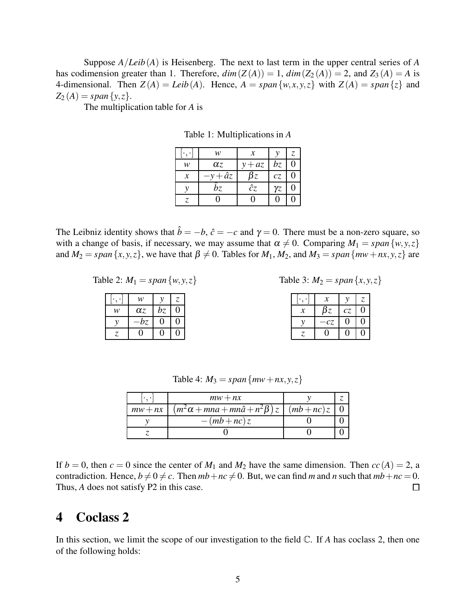Suppose *A*/*Leib*(*A*) is Heisenberg. The next to last term in the upper central series of *A* has codimension greater than 1. Therefore,  $dim(Z(A)) = 1$ ,  $dim(Z_2(A)) = 2$ , and  $Z_3(A) = A$  is 4-dimensional. Then  $Z(A) = Leib(A)$ . Hence,  $A = span\{w, x, y, z\}$  with  $Z(A) = span\{z\}$  and  $Z_2(A) = span\{y, z\}.$ 

The multiplication table for *A* is

| ٠             | w          | $\mathcal{X}$ |            | Z. |
|---------------|------------|---------------|------------|----|
| w             | $\alpha$ z | $+ az$        | bz         |    |
| $\mathcal{X}$ | - âz       | $\beta z$     | cz         |    |
|               | bz         | ĉz            | $\gamma$ z |    |
|               |            | 1             |            |    |

Table 1: Multiplications in *A*

The Leibniz identity shows that  $\hat{b} = -b$ ,  $\hat{c} = -c$  and  $\gamma = 0$ . There must be a non-zero square, so with a change of basis, if necessary, we may assume that  $\alpha \neq 0$ . Comparing  $M_1 = span\{w, y, z\}$ and  $M_2 = span\{x, y, z\}$ , we have that  $\beta \neq 0$ . Tables for  $M_1, M_2$ , and  $M_3 = span\{mw + nx, y, z\}$  are

Table 2:  $M_1 = span\{w, y, z\}$ 

|   | w          |    | Z. |
|---|------------|----|----|
| w | $\alpha$ z | bz |    |
|   | bz         |    |    |
|   |            |    |    |

| Table 3: $M_2 = span\{x, y, z\}$ |  |  |
|----------------------------------|--|--|
|----------------------------------|--|--|

|   | х         |    | Z. |
|---|-----------|----|----|
| х | $\beta z$ | cz |    |
|   | CΖ,       | ٠, |    |
|   |           | 0  |    |

Table 4:  $M_3 = span{mw + nx, y, z}$ 

|           | $mw + nx$                                                             |  |
|-----------|-----------------------------------------------------------------------|--|
| $mw + nx$ | $(m^2\alpha + mn\alpha + mn\hat{\alpha} + n^2\beta)z \mid (mb + nc)z$ |  |
|           | $-(mb+nc)z$                                                           |  |
|           |                                                                       |  |

If  $b = 0$ , then  $c = 0$  since the center of  $M_1$  and  $M_2$  have the same dimension. Then  $cc(A) = 2$ , a contradiction. Hence,  $b \neq 0 \neq c$ . Then  $mb + nc \neq 0$ . But, we can find *m* and *n* such that  $mb + nc = 0$ . Thus, *A* does not satisfy P2 in this case.  $\Box$ 

# 4 Coclass 2

In this section, we limit the scope of our investigation to the field  $\mathbb{C}$ . If *A* has coclass 2, then one of the following holds: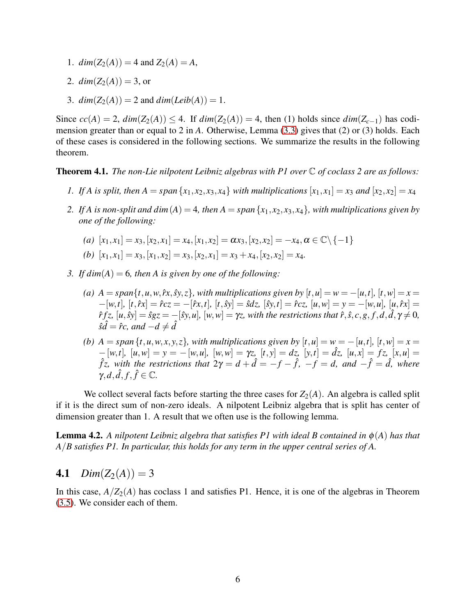- 1.  $dim(Z_2(A)) = 4$  and  $Z_2(A) = A$ ,
- 2.  $dim(Z_2(A)) = 3$ , or
- 3.  $dim(Z_2(A)) = 2$  and  $dim(Leib(A)) = 1$ .

Since  $cc(A) = 2$ ,  $dim(Z_2(A)) \leq 4$ . If  $dim(Z_2(A)) = 4$ , then (1) holds since  $dim(Z_{c-1})$  has codimension greater than or equal to 2 in *A*. Otherwise, Lemma [\(3.3\)](#page-2-2) gives that (2) or (3) holds. Each of these cases is considered in the following sections. We summarize the results in the following theorem.

<span id="page-5-1"></span>Theorem 4.1. *The non-Lie nilpotent Leibniz algebras with P1 over* C *of coclass 2 are as follows:*

- *1.* If A is split, then  $A = span\{x_1, x_2, x_3, x_4\}$  with multiplications  $[x_1, x_1] = x_3$  and  $[x_2, x_2] = x_4$
- 2. If A is non-split and dim(A) = 4, then  $A = span\{x_1, x_2, x_3, x_4\}$ , with multiplications given by *one of the following:*
	- $(a)$   $[x_1, x_1] = x_3, [x_2, x_1] = x_4, [x_1, x_2] = \alpha x_3, [x_2, x_2] = -x_4, \alpha \in \mathbb{C} \setminus \{-1\}$
	- (b)  $[x_1, x_1] = x_3$ ,  $[x_1, x_2] = x_3$ ,  $[x_2, x_1] = x_3 + x_4$ ,  $[x_2, x_2] = x_4$ .
- *3. If dim*(*A*) = 6*, then A is given by one of the following:*
	- *(a)*  $A = span{t, u, w, \hat{r}x, \hat{sy}, z}$ *, with multiplications given by*  $[t, u] = w = -[u, t]$ *,*  $[t, w] = x =$  $-[w,t], [t, \hat{r}x] = \hat{r}cz = -[\hat{r}x, t], [t, \hat{s}y] = \hat{s}dz, [\hat{s}y, t] = \hat{r}cz, [u, w] = y = -[w, u], [u, \hat{r}x] =$  $\hat{r}fz, [u,\hat{S}y] = \hat{s}gz = -[\hat{s}y,u], [w,w] = \gamma z$ , with the restrictions that  $\hat{r}, \hat{s}, c, g, f, d, \hat{d}, \gamma \neq 0$ ,  $\hat{s}\hat{d} = \hat{r}c$ , and  $-d \neq \hat{d}$
	- *(b)*  $A = span\{t, u, w, x, y, z\}$ , with multiplications given by  $[t, u] = w = -[u, t]$ ,  $[t, w] = x =$  $-[w,t], [u,w] = y = -[w,u], [w,w] = \gamma z, [t,y] = dz, [y,t] = \hat{dz}, [u,x] = fz, [x,u] =$  $\hat{f}z$ , with the restrictions that  $2\gamma = d + \hat{d} = -f - \hat{f}$ ,  $-f = d$ , and  $-\hat{f} = \hat{d}$ , where  $\gamma$ *, d*, *f*, *f*  $\in \mathbb{C}$ .

We collect several facts before starting the three cases for  $Z_2(A)$ . An algebra is called split if it is the direct sum of non-zero ideals. A nilpotent Leibniz algebra that is split has center of dimension greater than 1. A result that we often use is the following lemma.

<span id="page-5-0"></span>**Lemma 4.2.** A nilpotent Leibniz algebra that satisfies P1 with ideal B contained in  $\phi(A)$  has that *A*/*B satisfies P1. In particular, this holds for any term in the upper central series of A.*

## 4.1  $Dim(Z_2(A)) = 3$

In this case,  $A/Z_2(A)$  has coclass 1 and satisfies P1. Hence, it is one of the algebras in Theorem [\(3.5\)](#page-3-0). We consider each of them.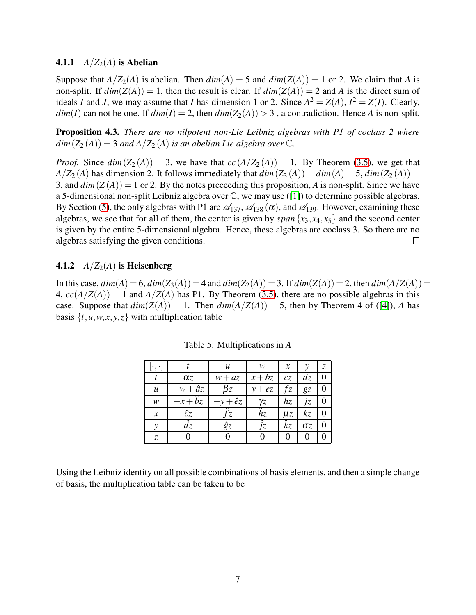#### **4.1.1**  $A/Z_2(A)$  is Abelian

Suppose that  $A/Z_2(A)$  is abelian. Then  $dim(A) = 5$  and  $dim(Z(A)) = 1$  or 2. We claim that *A* is non-split. If  $dim(Z(A)) = 1$ , then the result is clear. If  $dim(Z(A)) = 2$  and A is the direct sum of ideals *I* and *J*, we may assume that *I* has dimension 1 or 2. Since  $A^2 = Z(A)$ ,  $I^2 = Z(I)$ . Clearly, *dim*(*I*) can not be one. If  $dim(I) = 2$ , then  $dim(Z_2(A)) > 3$ , a contradiction. Hence *A* is non-split.

Proposition 4.3. *There are no nilpotent non-Lie Leibniz algebras with P1 of coclass 2 where*  $dim(Z_2(A)) = 3$  *and*  $A/Z_2(A)$  *is an abelian Lie algebra over*  $\mathbb{C}$ *.* 

*Proof.* Since  $dim(Z_2(A)) = 3$ , we have that  $cc(A/Z_2(A)) = 1$ . By Theorem [\(3.5\)](#page-3-0), we get that  $A/Z_2(A)$  has dimension 2. It follows immediately that  $dim(Z_3(A)) = dim(A) = 5$ ,  $dim(Z_2(A)) =$ 3, and  $dim(Z(A)) = 1$  or 2. By the notes preceeding this proposition, A is non-split. Since we have a 5-dimensional non-split Leibniz algebra over C, we may use ([\[1\]](#page-15-6)) to determine possible algebras. By Section [\(5\)](#page-14-0), the only algebras with P1 are  $\mathscr{A}_{137}$ ,  $\mathscr{A}_{138}(\alpha)$ , and  $\mathscr{A}_{139}$ . However, examining these algebras, we see that for all of them, the center is given by  $span\{x_3, x_4, x_5\}$  and the second center is given by the entire 5-dimensional algebra. Hence, these algebras are coclass 3. So there are no algebras satisfying the given conditions.  $\Box$ 

### 4.1.2  $A/Z_2(A)$  is Heisenberg

In this case,  $dim(A) = 6$ ,  $dim(Z_3(A)) = 4$  and  $dim(Z_2(A)) = 3$ . If  $dim(Z(A)) = 2$ , then  $dim(A/Z(A)) = 3$ 4,  $cc(A/Z(A)) = 1$  and  $A/Z(A)$  has P1. By Theorem [\(3.5\)](#page-3-0), there are no possible algebras in this case. Suppose that  $dim(Z(A)) = 1$ . Then  $dim(A/Z(A)) = 5$ , then by Theorem 4 of ([\[4\]](#page-15-2)), *A* has basis  $\{t, u, w, x, y, z\}$  with multiplication table

|                     |               | u             | w           | $\chi$      | ν          | Z. |
|---------------------|---------------|---------------|-------------|-------------|------------|----|
|                     | $\alpha$ z    | $w + az$      | $x+bz$      | cz          | dz         |    |
| u                   | $-w+\hat{a}z$ | $\beta z$     | $y + ez$    | fz          | gz         |    |
| w                   | $-x+\hat{b}z$ | $-y+\hat{e}z$ | γz          | hz          | İΖ         |    |
| $\boldsymbol{\chi}$ | ĉζ            | اح            | $\hat{h}$ z | $\mu z$     | kζ         |    |
| ν                   | dz            | ĝz            | JΖ          | $\hat{k}$ z | $\sigma z$ |    |
| Z.                  |               |               |             |             |            |    |

Table 5: Multiplications in *A*

Using the Leibniz identity on all possible combinations of basis elements, and then a simple change of basis, the multiplication table can be taken to be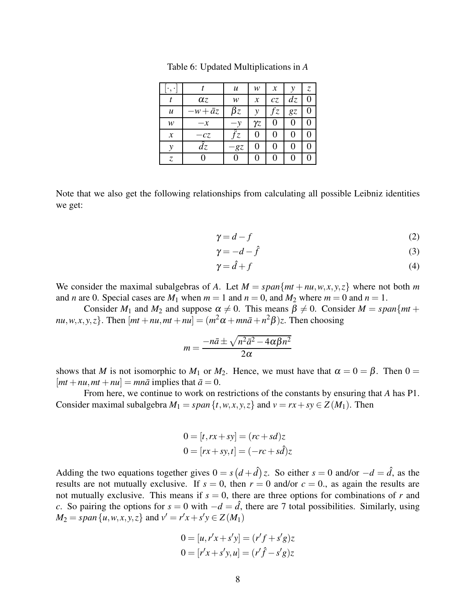|                  |               | u         | w          | $\mathcal{X}$ | ν  | Z. |
|------------------|---------------|-----------|------------|---------------|----|----|
|                  | $\alpha$ z    | w         | $\chi$     | cz            | dz | 0  |
| $\boldsymbol{u}$ | $-w+\bar{a}z$ | $\beta z$ | ν          | fz            | gz | 0  |
| w                | $-x$          |           | $\gamma$ z |               | 0  |    |
| $\mathcal{X}$    | $-cz$         | ΄Ζ        | 0          |               | 0  |    |
| ν                | dz            | -gz       |            |               | 0  |    |
| Z                |               |           |            |               | 0  |    |

<span id="page-7-0"></span>Table 6: Updated Multiplications in *A*

Note that we also get the following relationships from calculating all possible Leibniz identities we get:

$$
\gamma = d - f \tag{2}
$$

$$
\gamma = -d - \hat{f} \tag{3}
$$

$$
\gamma = \hat{d} + f \tag{4}
$$

We consider the maximal subalgebras of *A*. Let  $M = span{mt + nu, w, x, y, z}$  where not both *m* and *n* are 0. Special cases are  $M_1$  when  $m = 1$  and  $n = 0$ , and  $M_2$  where  $m = 0$  and  $n = 1$ .

Consider  $M_1$  and  $M_2$  and suppose  $\alpha \neq 0$ . This means  $\beta \neq 0$ . Consider  $M = span\{mt +$  $\{mu, w, x, y, z\}$ . Then  $[mt + nu, mt + nu] = (m^2\alpha + mn\bar{a} + n^2\beta)z$ . Then choosing

$$
m = \frac{-n\bar{a} \pm \sqrt{n^2\bar{a}^2 - 4\alpha\beta n^2}}{2\alpha}
$$

shows that *M* is not isomorphic to  $M_1$  or  $M_2$ . Hence, we must have that  $\alpha = 0 = \beta$ . Then  $0 =$  $[mt + nu, mt + nu] = mn\overline{a}$  implies that  $\overline{a} = 0$ .

From here, we continue to work on restrictions of the constants by ensuring that *A* has P1. Consider maximal subalgebra  $M_1 = span\{t, w, x, y, z\}$  and  $v = rx + sy \in Z(M_1)$ . Then

$$
0 = [t, rx + sy] = (rc + sd)z
$$
  

$$
0 = [rx + sy, t] = (-rc + sd)z
$$

Adding the two equations together gives  $0 = s(d + \hat{d})z$ . So either  $s = 0$  and/or  $-d = \hat{d}$ , as the results are not mutually exclusive. If  $s = 0$ , then  $r = 0$  and/or  $c = 0$ ., as again the results are not mutually exclusive. This means if  $s = 0$ , there are three options for combinations of *r* and *c*. So pairing the options for  $s = 0$  with  $-d = \hat{d}$ , there are 7 total possibilities. Similarly, using  $M_2 = span\{u, w, x, y, z\}$  and  $v' = r'x + s'y \in Z(M_1)$ 

$$
0 = [u, r'x + s'y] = (r'f + s'g)z
$$
  

$$
0 = [r'x + s'y, u] = (r'\hat{f} - s'g)z
$$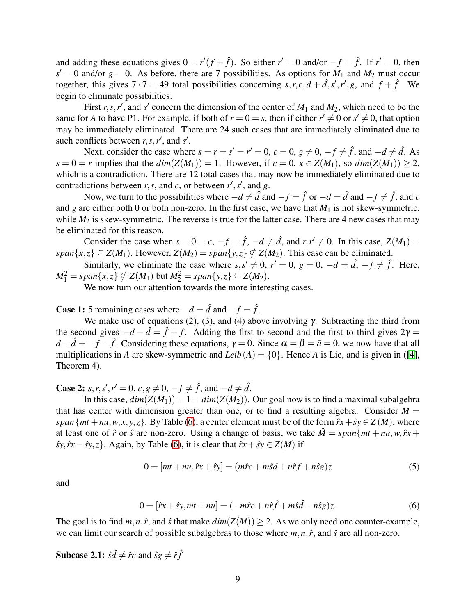and adding these equations gives  $0 = r'(f + \hat{f})$ . So either  $r' = 0$  and/or  $-f = \hat{f}$ . If  $r' = 0$ , then  $s' = 0$  and/or  $g = 0$ . As before, there are 7 possibilities. As options for  $M_1$  and  $M_2$  must occur together, this gives  $7 \cdot 7 = 49$  total possibilities concerning  $s, r, c, d + \hat{d}, s', r', g$ , and  $f + \hat{f}$ . We begin to eliminate possibilities.

First  $r, s, r'$ , and  $s'$  concern the dimension of the center of  $M_1$  and  $M_2$ , which need to be the same for *A* to have P1. For example, if both of  $r = 0 = s$ , then if either  $r' \neq 0$  or  $s' \neq 0$ , that option may be immediately eliminated. There are 24 such cases that are immediately eliminated due to such conflicts between  $r, s, r'$ , and  $s'$ .

Next, consider the case where  $s = r = s' = r' = 0$ ,  $c = 0$ ,  $g \neq 0$ ,  $-f \neq \hat{f}$ , and  $-d \neq \hat{d}$ . As  $s = 0 = r$  implies that the  $dim(Z(M_1)) = 1$ . However, if  $c = 0$ ,  $x \in Z(M_1)$ , so  $dim(Z(M_1)) > 2$ , which is a contradiction. There are 12 total cases that may now be immediately eliminated due to contradictions between *r*, *s*, and *c*, or between  $r'$ ,  $s'$ , and *g*.

Now, we turn to the possibilities where  $-d \neq \hat{d}$  and  $-f = \hat{f}$  or  $-d = \hat{d}$  and  $-f \neq \hat{f}$ , and  $c$ and *g* are either both 0 or both non-zero. In the first case, we have that  $M_1$  is not skew-symmetric, while  $M_2$  is skew-symmetric. The reverse is true for the latter case. There are 4 new cases that may be eliminated for this reason.

Consider the case when  $s = 0 = c$ ,  $-f = \hat{f}$ ,  $-d \neq \hat{d}$ , and  $r, r' \neq 0$ . In this case,  $Z(M_1) =$ *span*{*x*,*z*}  $\subseteq$  *Z*(*M*<sub>1</sub>). However, *Z*(*M*<sub>2</sub>) = *span*{*y*,*z*}  $\nsubseteq$  *Z*(*M*<sub>2</sub>). This case can be eliminated.

Similarly, we eliminate the case where  $s, s' \neq 0$ ,  $r' = 0$ ,  $g = 0$ ,  $-d = \hat{d}$ ,  $-f \neq \hat{f}$ . Here,  $M_1^2 = span\{x, z\} \nsubseteq Z(M_1)$  but  $M_2^2 = span\{y, z\} \subseteq Z(M_2)$ .

We now turn our attention towards the more interesting cases.

**Case 1:** 5 remaining cases where  $-d = \hat{d}$  and  $-f = \hat{f}$ .

We make use of equations (2), (3), and (4) above involving  $\gamma$ . Subtracting the third from the second gives  $-d - \hat{d} = \hat{f} + f$ . Adding the first to second and the first to third gives  $2\gamma =$  $d + \hat{d} = -f - \hat{f}$ . Considering these equations,  $\gamma = 0$ . Since  $\alpha = \beta = \bar{a} = 0$ , we now have that all multiplications in *A* are skew-symmetric and *Leib*( $A$ ) = {0}. Hence *A* is Lie, and is given in ([\[4\]](#page-15-2), Theorem 4).

**Case 2:** *s*, *r*, *s'*, *r'* = 0, *c*, *g* ≠ 0, −*f* ≠  $\hat{f}$ , and −*d* ≠  $\hat{d}$ .

In this case,  $dim(Z(M_1)) = 1 = dim(Z(M_2))$ . Our goal now is to find a maximal subalgebra that has center with dimension greater than one, or to find a resulting algebra. Consider  $M =$ *span*{ $mt + nu, w, x, y, z$ }. By Table [\(6\)](#page-7-0), a center element must be of the form  $\hat{r}x + \hat{y}y \in Z(M)$ , where at least one of  $\hat{r}$  or  $\hat{s}$  are non-zero. Using a change of basis, we take  $\hat{M} = span\{mt + nu, w, \hat{r}x +$  $\hat{s}y, \hat{r}x - \hat{s}y, z$ . Again, by Table [\(6\)](#page-7-0), it is clear that  $\hat{r}x + \hat{s}y \in Z(M)$  if

<span id="page-8-0"></span>
$$
0 = [mt + nu, \hat{r}x + \hat{s}y] = (m\hat{r}c + m\hat{s}d + n\hat{r}f + n\hat{s}g)z \tag{5}
$$

and

<span id="page-8-1"></span>
$$
0 = [\hat{r}x + \hat{s}y, mt + nu] = (-m\hat{r}c + n\hat{r}\hat{f} + m\hat{s}\hat{d} - n\hat{s}g)z.
$$
 (6)

The goal is to find  $m, n, \hat{r}$ , and  $\hat{s}$  that make  $dim(Z(M)) > 2$ . As we only need one counter-example, we can limit our search of possible subalgebras to those where *m*,*n*,*r*ˆ, and ˆ*s* are all non-zero.

**Subcase 2.1:**  $\hat{s}\hat{d} \neq \hat{r}c$  and  $\hat{s}g \neq \hat{r}f\hat{f}$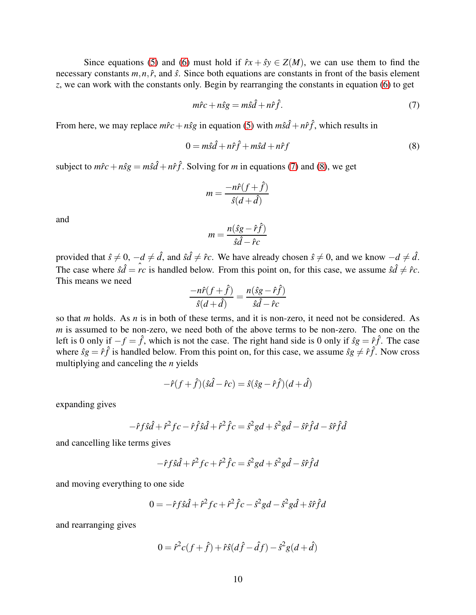Since equations [\(5\)](#page-8-0) and [\(6\)](#page-8-1) must hold if  $\hat{r}x + \hat{s}y \in Z(M)$ , we can use them to find the necessary constants  $m, n, \hat{r}$ , and  $\hat{s}$ . Since both equations are constants in front of the basis element *z*, we can work with the constants only. Begin by rearranging the constants in equation [\(6\)](#page-8-1) to get

<span id="page-9-0"></span>
$$
m\hat{r}c + n\hat{s}g = m\hat{s}\hat{d} + n\hat{r}\hat{f}.
$$
\n(7)

From here, we may replace  $m\hat{r}c + n\hat{s}g$  in equation [\(5\)](#page-8-0) with  $m\hat{s}\hat{d} + n\hat{r}\hat{f}$ , which results in

<span id="page-9-1"></span>
$$
0 = m\hat{s}\hat{d} + n\hat{r}\hat{f} + m\hat{s}d + n\hat{r}f \tag{8}
$$

subject to  $m\hat{r}c + n\hat{s}g = m\hat{s}\hat{d} + n\hat{r}\hat{f}$ . Solving for *m* in equations [\(7\)](#page-9-0) and [\(8\)](#page-9-1), we get

$$
m = \frac{-n\hat{r}(f+\hat{f})}{\hat{s}(d+\hat{d})}
$$

and

$$
m = \frac{n(\hat{s}g - \hat{r}\hat{f})}{\hat{s}\hat{d} - \hat{r}c}
$$

provided that  $\hat{s} \neq 0$ ,  $-d \neq \hat{d}$ , and  $\hat{s}d \neq \hat{r}c$ . We have already chosen  $\hat{s} \neq 0$ , and we know  $-d \neq \hat{d}$ . The case where  $\hat{s}\hat{d} = \hat{r}c$  is handled below. From this point on, for this case, we assume  $\hat{s}\hat{d} \neq \hat{r}c$ . This means we need

$$
\frac{-n\hat{r}(f+\hat{f})}{\hat{s}(d+\hat{d})} = \frac{n(\hat{s}g - \hat{r}\hat{f})}{\hat{s}\hat{d} - \hat{r}c}
$$

so that *m* holds. As *n* is in both of these terms, and it is non-zero, it need not be considered. As *m* is assumed to be non-zero, we need both of the above terms to be non-zero. The one on the left is 0 only if  $-f = \hat{f}$ , which is not the case. The right hand side is 0 only if  $\hat{s}g = \hat{r}\hat{f}$ . The case where  $\hat{s}g = \hat{r}f$  is handled below. From this point on, for this case, we assume  $\hat{s}g \neq \hat{r}f$ . Now cross multiplying and canceling the *n* yields

$$
-\hat{r}(f+\hat{f})(\hat{s}\hat{d}-\hat{r}c)=\hat{s}(\hat{s}g-\hat{r}\hat{f})(d+\hat{d})
$$

expanding gives

$$
-\hat{r}f\hat{s}\hat{d}+\hat{r}^{2}f c-\hat{r}\hat{f}\hat{s}\hat{d}+\hat{r}^{2}\hat{f}c=\hat{s}^{2}gd+\hat{s}^{2}g\hat{d}-\hat{s}\hat{r}\hat{f}d-\hat{s}\hat{r}\hat{f}\hat{d}
$$

and cancelling like terms gives

$$
-\hat{r}f\hat{s}\hat{d}+\hat{r}^2fc+\hat{r}^2\hat{f}c=\hat{s}^2gd+\hat{s}^2g\hat{d}-\hat{s}\hat{r}\hat{f}d
$$

and moving everything to one side

$$
0 = -\hat{r}f\hat{s}\hat{d} + \hat{r}^2fc + \hat{r}^2\hat{f}c - \hat{s}^2gd - \hat{s}^2g\hat{d} + \hat{s}\hat{r}\hat{f}d
$$

and rearranging gives

$$
0 = \hat{r}^2 c(f + \hat{f}) + \hat{r}\hat{s}(d\hat{f} - \hat{d}f) - \hat{s}^2 g(d + \hat{d})
$$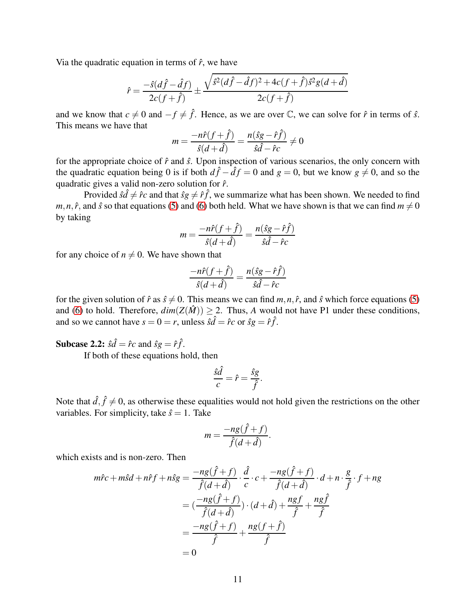Via the quadratic equation in terms of  $\hat{r}$ , we have

$$
\hat{r} = \frac{-\hat{s}(d\hat{f} - \hat{d}f)}{2c(f + \hat{f})} \pm \frac{\sqrt{\hat{s}^2(d\hat{f} - \hat{d}f)^2 + 4c(f + \hat{f})\hat{s}^2g(d + \hat{d})}}{2c(f + \hat{f})}
$$

and we know that  $c \neq 0$  and  $-f \neq \hat{f}$ . Hence, as we are over  $\mathbb{C}$ , we can solve for  $\hat{r}$  in terms of  $\hat{s}$ . This means we have that

$$
m = \frac{-n\hat{r}(f+\hat{f})}{\hat{s}(d+\hat{d})} = \frac{n(\hat{s}g-\hat{r}\hat{f})}{\hat{s}\hat{d}-\hat{r}c} \neq 0
$$

for the appropriate choice of  $\hat{r}$  and  $\hat{s}$ . Upon inspection of various scenarios, the only concern with the quadratic equation being 0 is if both  $d\hat{f} - \hat{d}f = 0$  and  $g = 0$ , but we know  $g \neq 0$ , and so the quadratic gives a valid non-zero solution for ˆ*r*.

Provided  $\hat{s}\hat{d} \neq \hat{r}c$  and that  $\hat{s}g \neq \hat{r}f$ , we summarize what has been shown. We needed to find *m*,*n*,  $\hat{r}$ , and  $\hat{s}$  so that equations [\(5\)](#page-8-0) and [\(6\)](#page-8-1) both held. What we have shown is that we can find  $m \neq 0$ by taking

$$
m = \frac{-n\hat{r}(f+\hat{f})}{\hat{s}(d+\hat{d})} = \frac{n(\hat{s}g-\hat{r}\hat{f})}{\hat{s}\hat{d}-\hat{r}c}
$$

for any choice of  $n \neq 0$ . We have shown that

$$
\frac{-n\hat{r}(f+\hat{f})}{\hat{s}(d+\hat{d})} = \frac{n(\hat{s}g-\hat{r}\hat{f})}{\hat{s}\hat{d}-\hat{r}c}
$$

for the given solution of  $\hat{r}$  as  $\hat{s} \neq 0$ . This means we can find  $m, n, \hat{r}$ , and  $\hat{s}$  which force equations [\(5\)](#page-8-0) and [\(6\)](#page-8-1) to hold. Therefore,  $dim(Z(\hat{M})) > 2$ . Thus, *A* would not have P1 under these conditions, and so we cannot have  $s = 0 = r$ , unless  $\hat{s}\hat{d} = \hat{r}c$  or  $\hat{s}g = \hat{r}\hat{f}$ .

**Subcase 2.2:**  $\hat{s}\hat{d} = \hat{r}c$  and  $\hat{s}g = \hat{r}\hat{f}$ .

If both of these equations hold, then

$$
\frac{\hat{s}\hat{d}}{c} = \hat{r} = \frac{\hat{s}g}{\hat{f}}.
$$

Note that  $\hat{d}, \hat{f} \neq 0$ , as otherwise these equalities would not hold given the restrictions on the other variables. For simplicity, take  $\hat{s} = 1$ . Take

$$
m = \frac{-ng(\hat{f} + f)}{\hat{f}(d + \hat{d})}.
$$

which exists and is non-zero. Then

$$
m\hat{r}c + m\hat{s}d + n\hat{r}f + n\hat{s}g = \frac{-ng(\hat{f} + f)}{\hat{f}(d + \hat{d})} \cdot \frac{\hat{d}}{c} \cdot c + \frac{-ng(\hat{f} + f)}{\hat{f}(d + \hat{d})} \cdot d + n \cdot \frac{g}{\hat{f}} \cdot f + ng
$$

$$
= (\frac{-ng(\hat{f} + f)}{\hat{f}(d + \hat{d})}) \cdot (d + \hat{d}) + \frac{ngf}{\hat{f}} + \frac{ng\hat{f}}{\hat{f}}
$$

$$
= \frac{-ng(\hat{f} + f)}{\hat{f}} + \frac{ng(f + \hat{f})}{\hat{f}}
$$

$$
= 0
$$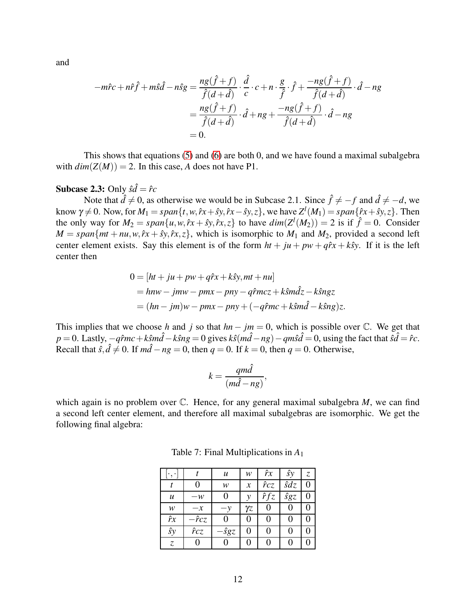and

$$
-m\hat{r}c + n\hat{r}\hat{f} + m\hat{s}\hat{d} - n\hat{s}g = \frac{ng(\hat{f} + f)}{\hat{f}(d + \hat{d})} \cdot \frac{\hat{d}}{c} \cdot c + n \cdot \frac{g}{\hat{f}} \cdot \hat{f} + \frac{-ng(\hat{f} + f)}{\hat{f}(d + \hat{d})} \cdot \hat{d} - ng
$$

$$
= \frac{ng(\hat{f} + f)}{\hat{f}(d + \hat{d})} \cdot \hat{d} + ng + \frac{-ng(\hat{f} + f)}{\hat{f}(d + \hat{d})} \cdot \hat{d} - ng
$$

$$
= 0.
$$

This shows that equations [\(5\)](#page-8-0) and [\(6\)](#page-8-1) are both 0, and we have found a maximal subalgebra with  $dim(Z(M)) = 2$ . In this case, *A* does not have P1.

# **Subcase 2.3:** Only  $\hat{s}\hat{d} = \hat{r}c$

Note that  $\hat{d} \neq 0$ , as otherwise we would be in Subcase 2.1. Since  $\hat{f} \neq -f$  and  $\hat{d} \neq -d$ , we know  $\gamma \neq 0$ . Now, for  $M_1 = span\{t, w, \hat{r}x + \hat{s}y, \hat{r}x - \hat{s}y, z\}$ , we have  $Z^l(M_1) = span\{\hat{r}x + \hat{s}y, z\}$ . Then the only way for  $M_2 = span\{u, w, \hat{r}x + \hat{y}y, \hat{r}x, z\}$  to have  $dim(Z^l(M_2)) = 2$  is if  $\hat{f} = 0$ . Consider  $M = span{mt + nu, w, \hat{r}x + \hat{sy}, \hat{r}x, z}$ , which is isomorphic to  $M_1$  and  $M_2$ , provided a second left center element exists. Say this element is of the form  $ht + ju + pw + q\hat{r}x + k\hat{y}$ . If it is the left center then

$$
0 = [ht + ju + pw + q\hat{r}x + k\hat{s}y, mt + nu]
$$
  
=  $hnw - jmw - pmx - pny - q\hat{r}mcz + k\hat{s}m\hat{d}z - k\hat{s}ngz$   
=  $(hn - jm)w - pmx - pny + (-q\hat{r}mc + k\hat{s}m\hat{d} - k\hat{s}ng)z$ .

This implies that we choose *h* and *j* so that  $hn - jm = 0$ , which is possible over  $\mathbb{C}$ . We get that  $p = 0$ . Lastly,  $-q\hat{r}mc + k\hat{s}m\hat{d} - k\hat{s}ng = 0$  gives  $k\hat{s}(m\hat{d} - ng) - qm\hat{s}\hat{d} = 0$ , using the fact that  $\hat{s}\hat{d} = \hat{r}c$ . Recall that  $\hat{s}, \hat{d} \neq 0$ . If  $m\hat{d} - ng = 0$ , then  $q = 0$ . If  $k = 0$ , then  $q = 0$ . Otherwise,

$$
k = \frac{qm\hat{d}}{(m\hat{d} - ng)},
$$

which again is no problem over  $\mathbb C$ . Hence, for any general maximal subalgebra *M*, we can find a second left center element, and therefore all maximal subalgebras are isomorphic. We get the following final algebra:

|            |              | u            | w                | $\hat{r}x$   | ŝy           | Z, |
|------------|--------------|--------------|------------------|--------------|--------------|----|
|            |              | w            | $\boldsymbol{x}$ | $\hat{r}$ cz | $\hat{s}$ dz |    |
| u          | $-w$         | 0            | ν                | $\hat{r}fz$  | ŝgz          |    |
| w          | $-x$         | $-\nu$       | $\gamma$ z       | U            |              |    |
| $\hat{r}x$ | $-\hat{r}cz$ |              |                  |              |              |    |
| ŝy         | $\hat{r}$ cz | $-\hat{s}gz$ | O                | 0            | 0            |    |
| Z,         |              |              |                  | 0            |              |    |

<span id="page-11-0"></span>Table 7: Final Multiplications in *A*<sup>1</sup>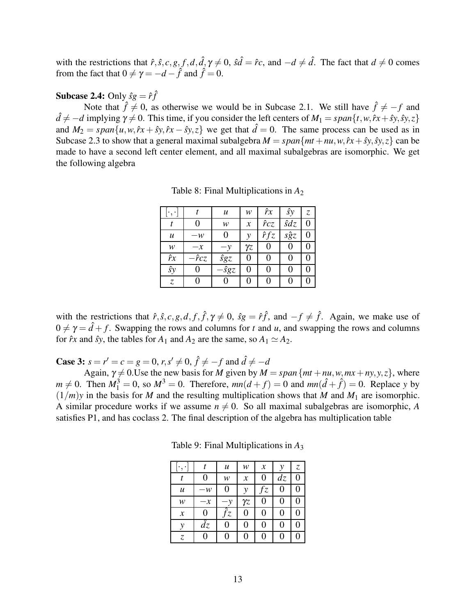with the restrictions that  $\hat{r}, \hat{s}, c, g, f, d, \hat{d}, \gamma \neq 0$ ,  $\hat{s}\hat{d} = \hat{r}c$ , and  $-d \neq \hat{d}$ . The fact that  $d \neq 0$  comes from the fact that  $0 \neq \gamma = -d - \hat{f}$  and  $\hat{f} = 0$ .

### **Subcase 2.4:** Only  $\hat{sg} = \hat{r}\hat{f}$

Note that  $\hat{f} \neq 0$ , as otherwise we would be in Subcase 2.1. We still have  $\hat{f} \neq -f$  and  $d \neq -d$  implying  $\gamma \neq 0$ . This time, if you consider the left centers of  $M_1 = span\{t, w, fx + sy, sy, z\}$ and  $M_2 = span\{u, w, \hat{r}x + \hat{y}y, \hat{r}x - \hat{y}y, z\}$  we get that  $\hat{d} = 0$ . The same process can be used as in Subcase 2.3 to show that a general maximal subalgebra  $M = span{mt + nu, w, \hat{r}x + \hat{sy}, \hat{sy}, z}$  can be made to have a second left center element, and all maximal subalgebras are isomorphic. We get the following algebra

Table 8: Final Multiplications in *A*<sup>2</sup>

|                  |                         | u            | w                | $\hat{r}x$   | ŝy          | Z, |
|------------------|-------------------------|--------------|------------------|--------------|-------------|----|
|                  | 0                       | w            | $\boldsymbol{x}$ | $\hat{r}$ cz | $\hat{s}dz$ | 0  |
| $\boldsymbol{u}$ | $-w$                    | 0            | ν                | $\hat{r}fz$  | sĝz         |    |
| w                | $-x$                    | $-\nu$       | $\gamma$ z       | 0            | 0           | 0  |
| $\hat{r}x$       | $-\hat{r}c\overline{z}$ | $\hat{s}$ gz | 0                | 0            | 0           | 0  |
| ŝy               | 0                       | $-\hat{s}gz$ | 0                | 0            |             | 0  |
| Z,               |                         | O            | 0                | 0            |             |    |

with the restrictions that  $\hat{r}, \hat{s}, c, g, d, f, \hat{f}, \gamma \neq 0$ ,  $\hat{s}g = \hat{r}\hat{f}$ , and  $-f \neq \hat{f}$ . Again, we make use of  $0 \neq \gamma = \hat{d} + f$ . Swapping the rows and columns for *t* and *u*, and swapping the rows and columns for  $\hat{r}x$  and  $\hat{s}y$ , the tables for  $A_1$  and  $A_2$  are the same, so  $A_1 \simeq A_2$ .

**Case 3:**  $s = r' = c = g = 0, r, s' \neq 0, \hat{f} \neq -f$  and  $\hat{d} \neq -d$ 

Again,  $\gamma \neq 0$ . Use the new basis for *M* given by  $M = span\{mt + nu, w, mx + ny, y, z\}$ , where  $m \neq 0$ . Then  $M_1^3 = 0$ , so  $M^3 = 0$ . Therefore,  $mn(d+f) = 0$  and  $mn(\hat{d}+\hat{f}) = 0$ . Replace *y* by  $(1/m)y$  in the basis for *M* and the resulting multiplication shows that *M* and *M*<sub>1</sub> are isomorphic. A similar procedure works if we assume  $n \neq 0$ . So all maximal subalgebras are isomorphic, *A* satisfies P1, and has coclass 2. The final description of the algebra has multiplication table

| $\cdot$          |            | $\boldsymbol{u}$            | w                | $\boldsymbol{\mathcal{X}}$ | ν              | Z. |
|------------------|------------|-----------------------------|------------------|----------------------------|----------------|----|
|                  | 0          | w                           | $\boldsymbol{x}$ | 0                          | dz             |    |
| $\boldsymbol{u}$ | $-w$       | 0                           | ν                | fz                         | 0              | 0  |
| w                | $-x$       | $\cdot y$                   | $\gamma$ z       | 0                          | $\overline{0}$ | 0  |
| $\mathcal{X}$    | 0          | $\widehat{f}_{\mathcal{Z}}$ | 0                | 0                          | $\overline{0}$ | 0  |
| y                | $\hat{dz}$ | 0                           | 0                | 0                          | 0              |    |
| Z                | 0          | 0                           | 0                | 0                          | 0              | 0  |

<span id="page-12-0"></span>Table 9: Final Multiplications in *A*<sup>3</sup>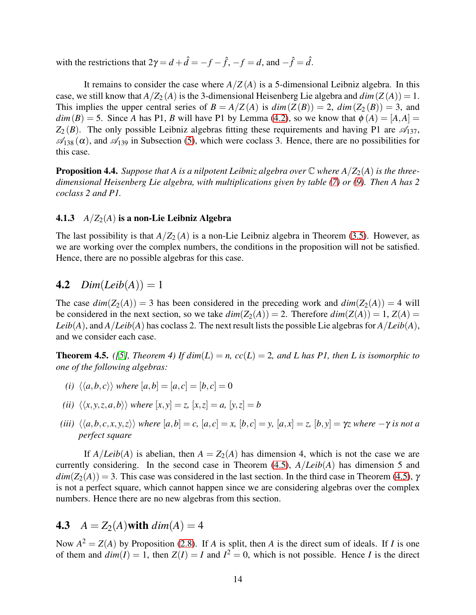with the restrictions that  $2\gamma = d + \hat{d} = -f - \hat{f}$ ,  $-f = d$ , and  $-\hat{f} = \hat{d}$ .

It remains to consider the case where  $A/Z(A)$  is a 5-dimensional Leibniz algebra. In this case, we still know that  $A/Z_2(A)$  is the 3-dimensional Heisenberg Lie algebra and  $dim(Z(A)) = 1$ . This implies the upper central series of  $B = A/Z(A)$  is  $dim(Z(B)) = 2$ ,  $dim(Z_2(B)) = 3$ , and  $dim(B) = 5$ . Since *A* has P1, *B* will have P1 by Lemma [\(4.2\)](#page-5-0), so we know that  $\phi(A) = [A, A] =$  $Z_2(B)$ . The only possible Leibniz algebras fitting these requirements and having P1 are  $\mathscr{A}_{137}$ ,  $\mathscr{A}_{138}(\alpha)$ , and  $\mathscr{A}_{139}$  in Subsection [\(5\)](#page-14-0), which were coclass 3. Hence, there are no possibilities for this case.

**Proposition 4.4.** *Suppose that A is a nilpotent Leibniz algebra over*  $\mathbb{C}$  *where A*/ $Z_2(A)$  *is the threedimensional Heisenberg Lie algebra, with multiplications given by table [\(7\)](#page-11-0) or [\(9\)](#page-12-0). Then A has 2 coclass 2 and P1.*

#### 4.1.3  $A/Z_2(A)$  is a non-Lie Leibniz Algebra

The last possibility is that  $A/Z_2(A)$  is a non-Lie Leibniz algebra in Theorem [\(3.5\)](#page-3-0). However, as we are working over the complex numbers, the conditions in the proposition will not be satisfied. Hence, there are no possible algebras for this case.

### 4.2  $Dim(Leib(A)) = 1$

The case  $dim(Z_2(A)) = 3$  has been considered in the preceding work and  $dim(Z_2(A)) = 4$  will be considered in the next section, so we take  $dim(Z_2(A)) = 2$ . Therefore  $dim(Z(A)) = 1$ ,  $Z(A) =$ *Leib*(*A*), and *A*/*Leib*(*A*) has coclass 2. The next result lists the possible Lie algebras for *A*/*Leib*(*A*), and we consider each case.

<span id="page-13-0"></span>**Theorem 4.5.** *([\[5\]](#page-15-4), Theorem 4) If*  $dim(L) = n$ *,*  $cc(L) = 2$ *, and L has P1, then L is isomorphic to one of the following algebras:*

- *(i)*  $\langle \langle a,b,c \rangle \rangle$  *where*  $[a,b] = [a,c] = [b,c] = 0$
- *(ii)*  $\langle \langle x, y, z, a, b \rangle \rangle$  *where*  $[x, y] = z$ ,  $[x, z] = a$ ,  $[y, z] = b$
- (iii)  $\langle \langle a,b,c,x,y,z \rangle \rangle$  where  $[a,b]=c$ ,  $[a,c]=x$ ,  $[b,c]=y$ ,  $[a,x]=z$ ,  $[b,y]=\gamma z$  where  $-\gamma$  is not a *perfect square*

If  $A/Leib(A)$  is abelian, then  $A = Z_2(A)$  has dimension 4, which is not the case we are currently considering. In the second case in Theorem [\(4.5\)](#page-13-0), *A*/*Leib*(*A*) has dimension 5 and  $dim(Z_2(A)) = 3$ . This case was considered in the last section. In the third case in Theorem [\(4.5\)](#page-13-0), γ is not a perfect square, which cannot happen since we are considering algebras over the complex numbers. Hence there are no new algebras from this section.

### 4.3  $A = Z_2(A)$  with  $dim(A) = 4$

Now  $A^2 = Z(A)$  by Proposition [\(2.8\)](#page-1-0). If *A* is split, then *A* is the direct sum of ideals. If *I* is one of them and  $dim(I) = 1$ , then  $Z(I) = I$  and  $I^2 = 0$ , which is not possible. Hence *I* is the direct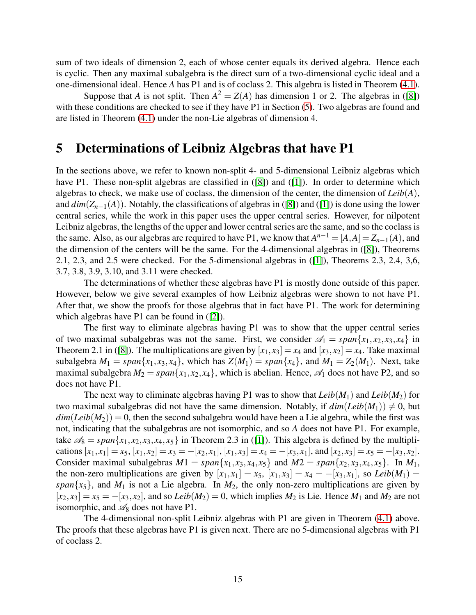sum of two ideals of dimension 2, each of whose center equals its derived algebra. Hence each is cyclic. Then any maximal subalgebra is the direct sum of a two-dimensional cyclic ideal and a one-dimensional ideal. Hence *A* has P1 and is of coclass 2. This algebra is listed in Theorem [\(4.1\)](#page-5-1).

Suppose that *A* is not split. Then  $A^2 = Z(A)$  has dimension 1 or 2. The algebras in ([\[8\]](#page-15-5)) with these conditions are checked to see if they have P1 in Section [\(5\)](#page-14-0). Two algebras are found and are listed in Theorem [\(4.1\)](#page-5-1) under the non-Lie algebras of dimension 4.

### <span id="page-14-0"></span>5 Determinations of Leibniz Algebras that have P1

In the sections above, we refer to known non-split 4- and 5-dimensional Leibniz algebras which have P1. These non-split algebras are classified in ([\[8\]](#page-15-5)) and ([\[1\]](#page-15-6)). In order to determine which algebras to check, we make use of coclass, the dimension of the center, the dimension of *Leib*(*A*), and  $dim(Z_{n-1}(A))$ . Notably, the classifications of algebras in ([\[8\]](#page-15-5)) and ([\[1\]](#page-15-6)) is done using the lower central series, while the work in this paper uses the upper central series. However, for nilpotent Leibniz algebras, the lengths of the upper and lower central series are the same, and so the coclass is the same. Also, as our algebras are required to have P1, we know that  $A^{n-1} = [A,A] = Z_{n-1}(A)$ , and the dimension of the centers will be the same. For the 4-dimensional algebras in ([\[8\]](#page-15-5)), Theorems 2.1, 2.3, and 2.5 were checked. For the 5-dimensional algebras in ([\[1\]](#page-15-6)), Theorems 2.3, 2.4, 3,6, 3.7, 3.8, 3.9, 3.10, and 3.11 were checked.

The determinations of whether these algebras have P1 is mostly done outside of this paper. However, below we give several examples of how Leibniz algebras were shown to not have P1. After that, we show the proofs for those algebras that in fact have P1. The work for determining which algebras have P1 can be found in  $(2)$ ).

The first way to eliminate algebras having P1 was to show that the upper central series of two maximal subalgebras was not the same. First, we consider  $\mathcal{A}_1 = span\{x_1, x_2, x_3, x_4\}$  in Theorem 2.1 in ([\[8\]](#page-15-5)). The multiplications are given by  $[x_1, x_3] = x_4$  and  $[x_3, x_2] = x_4$ . Take maximal subalgebra  $M_1 = span\{x_1, x_3, x_4\}$ , which has  $Z(M_1) = span\{x_4\}$ , and  $M_1 = Z_2(M_1)$ . Next, take maximal subalgebra  $M_2 = span{x_1, x_2, x_4}$ , which is abelian. Hence,  $\mathscr{A}_1$  does not have P2, and so does not have P1.

The next way to eliminate algebras having P1 was to show that  $Leib(M_1)$  and  $Leib(M_2)$  for two maximal subalgebras did not have the same dimension. Notably, if  $dim(Leib(M_1)) \neq 0$ , but  $dim(Leib(M_2)) = 0$ , then the second subalgebra would have been a Lie algebra, while the first was not, indicating that the subalgebras are not isomorphic, and so *A* does not have P1. For example, take  $\mathcal{A}_8 = span\{x_1, x_2, x_3, x_4, x_5\}$  in Theorem 2.3 in ([\[1\]](#page-15-6)). This algebra is defined by the multiplications  $[x_1, x_1] = x_5$ ,  $[x_1, x_2] = x_3 = -[x_2, x_1]$ ,  $[x_1, x_3] = x_4 = -[x_3, x_1]$ , and  $[x_2, x_3] = x_5 = -[x_3, x_2]$ . Consider maximal subalgebras  $M1 = span{x_1, x_3, x_4, x_5}$  and  $M2 = span{x_2, x_3, x_4, x_5}$ . In  $M_1$ , the non-zero multiplications are given by  $[x_1, x_1] = x_5$ ,  $[x_1, x_3] = x_4 = -[x_3, x_1]$ , so *Leib*( $M_1$ ) = *span* $\{x_5\}$ , and  $M_1$  is not a Lie algebra. In  $M_2$ , the only non-zero multiplications are given by  $[x_2, x_3] = x_5 = -[x_3, x_2]$ , and so *Leib*( $M_2$ ) = 0, which implies  $M_2$  is Lie. Hence  $M_1$  and  $M_2$  are not isomorphic, and  $\mathcal{A}_8$  does not have P1.

The 4-dimensional non-split Leibniz algebras with P1 are given in Theorem [\(4.1\)](#page-5-1) above. The proofs that these algebras have P1 is given next. There are no 5-dimensional algebras with P1 of coclass 2.